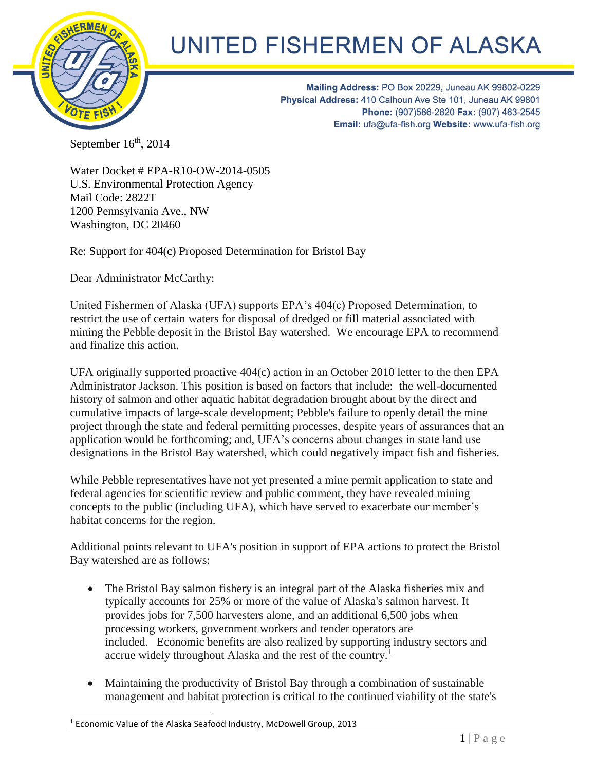

 $\overline{a}$ 

## UNITED FISHERMEN OF ALASKA

Mailing Address: PO Box 20229, Juneau AK 99802-0229 Physical Address: 410 Calhoun Ave Ste 101, Juneau AK 99801 Phone: (907)586-2820 Fax: (907) 463-2545 Email: ufa@ufa-fish.org Website: www.ufa-fish.org

September 16<sup>th</sup>, 2014

Water Docket # EPA-R10-OW-2014-0505 U.S. Environmental Protection Agency Mail Code: 2822T 1200 Pennsylvania Ave., NW Washington, DC 20460

Re: Support for 404(c) Proposed Determination for Bristol Bay

Dear Administrator McCarthy:

United Fishermen of Alaska (UFA) supports EPA's 404(c) Proposed Determination, to restrict the use of certain waters for disposal of dredged or fill material associated with mining the Pebble deposit in the Bristol Bay watershed. We encourage EPA to recommend and finalize this action.

UFA originally supported proactive 404(c) action in an October 2010 letter to the then EPA Administrator Jackson. This position is based on factors that include: the well-documented history of salmon and other aquatic habitat degradation brought about by the direct and cumulative impacts of large-scale development; Pebble's failure to openly detail the mine project through the state and federal permitting processes, despite years of assurances that an application would be forthcoming; and, UFA's concerns about changes in state land use designations in the Bristol Bay watershed, which could negatively impact fish and fisheries.

While Pebble representatives have not yet presented a mine permit application to state and federal agencies for scientific review and public comment, they have revealed mining concepts to the public (including UFA), which have served to exacerbate our member's habitat concerns for the region.

Additional points relevant to UFA's position in support of EPA actions to protect the Bristol Bay watershed are as follows:

- The Bristol Bay salmon fishery is an integral part of the Alaska fisheries mix and typically accounts for 25% or more of the value of Alaska's salmon harvest. It provides jobs for 7,500 harvesters alone, and an additional 6,500 jobs when processing workers, government workers and tender operators are included. Economic benefits are also realized by supporting industry sectors and accrue widely throughout Alaska and the rest of the country.<sup>1</sup>
- Maintaining the productivity of Bristol Bay through a combination of sustainable management and habitat protection is critical to the continued viability of the state's

<sup>&</sup>lt;sup>1</sup> [Economic Value of the Alaska Seafood Industry,](http://www.mcdowellgroup.net/pdf/publications/2013_07_ASMI_Economic_Value_of_the_Alaska_Seafood_Industry.pdf) McDowell Group, 2013